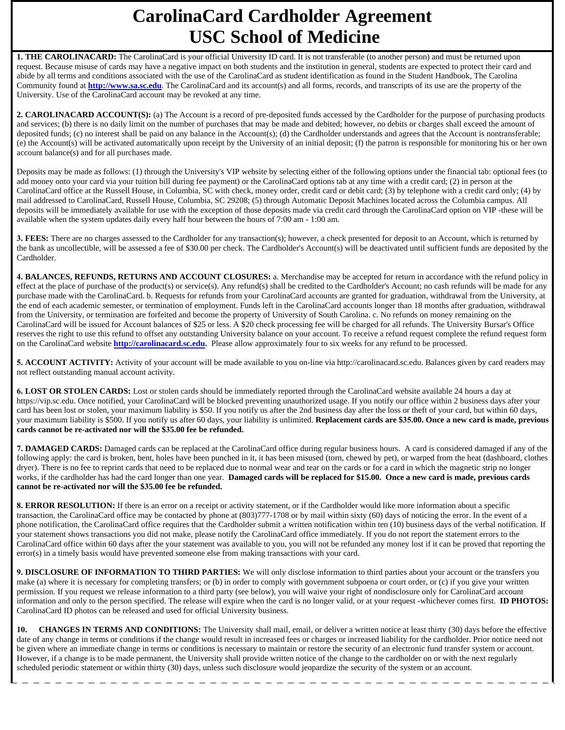## **CarolinaCard Cardholder Agreement USC School of Medicine**

1. THE CAROLINACARD: The CarolinaCard is your official University ID card. It is not transferable (to another person) and must be returned upon request. Because misuse of cards may have a negative impact on both students and the institution in general, students are expected to protect their card and abide by all terms and conditions associated with the use of the CarolinaCard as student identification as found in the Student Handbook, The Carolina Community found at **http://www.sa.sc.edu**. The CarolinaCard and its account(s) and all forms, records, and transcripts of its use are the property of the University. Use of the CarolinaCard account may be revoked at any time.

**2. CAROLINACARD ACCOUNT(S):** (a) The Account is a record of pre-deposited funds accessed by the Cardholder for the purpose of purchasing products and services; (b) there is no daily limit on the number of purchases that may be made and debited; however, no debits or charges shall exceed the amount of deposited funds; (c) no interest shall be paid on any balance in the Account(s); (d) the Cardholder understands and agrees that the Account is nontransferable; (e) the Account(s) will be activated automatically upon receipt by the University of an initial deposit; (f) the patron is responsible for monitoring his or her own account balance(s) and for all purchases made.

Deposits may be made as follows: (1) through the University's VIP website by selecting either of the following options under the financial tab: optional fees (to add money onto your card via your tuition bill during fee payment) or the CarolinaCard options tab at any time with a credit card; (2) in person at the CarolinaCard office at the Russell House, in Columbia, SC with check, money order, credit card or debit card; (3) by telephone with a credit card only; (4) by mail addressed to CarolinaCard, Russell House, Columbia, SC 29208; (5) through Automatic Deposit Machines located across the Columbia campus. All deposits will be immediately available for use with the exception of those deposits made via credit card through the CarolinaCard option on VIP -these will be available when the system updates daily every half hour between the hours of 7:00 am - 1:00 am.

**3. FEES:** There are no charges assessed to the Cardholder for any transaction(s); however, a check presented for deposit to an Account, which is returned by the bank as uncollectible, will be assessed a fee of \$30.00 per check. The Cardholder's Account(s) will be deactivated until sufficient funds are deposited by the Cardholder.

**4. BALANCES, REFUNDS, RETURNS AND ACCOUNT CLOSURES:** a. Merchandise may be accepted for return in accordance with the refund policy in effect at the place of purchase of the product(s) or service(s). Any refund(s) shall be credited to the Cardholder's Account; no cash refunds will be made for any purchase made with the CarolinaCard. b. Requests for refunds from your CarolinaCard accounts are granted for graduation, withdrawal from the University, at the end of each academic semester, or termination of employment. Funds left in the CarolinaCard accounts longer than 18 months after graduation, withdrawal from the University, or termination are forfeited and become the property of University of South Carolina. c. No refunds on money remaining on the CarolinaCard will be issued for Account balances of \$25 or less. A \$20 check processing fee will be charged for all refunds. The University Bursar's Office reserves the right to use this refund to offset any outstanding University balance on your account. To receive a refund request complete the refund request form on the CarolinaCard website **http://carolinacard.sc.edu.** Please allow approximately four to six weeks for any refund to be processed.

**5. ACCOUNT ACTIVITY:** Activity of your account will be made available to you on-line via http://carolinacard.sc.edu. Balances given by card readers may not reflect outstanding manual account activity.

**6. LOST OR STOLEN CARDS:** Lost or stolen cards should be immediately reported through the CarolinaCard website available 24 hours a day at https://vip.sc.edu. Once notified, your CarolinaCard will be blocked preventing unauthorized usage. If you notify our office within 2 business days after your card has been lost or stolen, your maximum liability is \$50. If you notify us after the 2nd business day after the loss or theft of your card, but within 60 days, your maximum liability is \$500. If you notify us after 60 days, your liability is unlimited. **Replacement cards are \$35.00. Once a new card is made, previous cards cannot be re-activated nor will the \$35.00 fee be refunded.**

**7. DAMAGED CARDS:** Damaged cards can be replaced at the CarolinaCard office during regular business hours. A card is considered damaged if any of the following apply: the card is broken, bent, holes have been punched in it, it has been misused (torn, chewed by pet), or warped from the heat (dashboard, clothes dryer). There is no fee to reprint cards that need to be replaced due to normal wear and tear on the cards or for a card in which the magnetic strip no longer works, if the cardholder has had the card longer than one year. **Damaged cards will be replaced for \$15.00. Once a new card is made, previous cards cannot be re-activated nor will the \$35.00 fee be refunded.**

**8. ERROR RESOLUTION:** If there is an error on a receipt or activity statement, or if the Cardholder would like more information about a specific transaction, the CarolinaCard office may be contacted by phone at (803)777-1708 or by mail within sixty (60) days of noticing the error. In the event of a phone notification, the CarolinaCard office requires that the Cardholder submit a written notification within ten (10) business days of the verbal notification. If your statement shows transactions you did not make, please notify the CarolinaCard office immediately. If you do not report the statement errors to the CarolinaCard office within 60 days after the your statement was available to you, you will not be refunded any money lost if it can be proved that reporting the error(s) in a timely basis would have prevented someone else from making transactions with your card.

**9. DISCLOSURE OF INFORMATION TO THIRD PARTIES:** We will only disclose information to third parties about your account or the transfers you make (a) where it is necessary for completing transfers; or (b) in order to comply with government subpoena or court order, or (c) if you give your written permission. If you request we release information to a third party (see below), you will waive your right of nondisclosure only for CarolinaCard account information and only to the person specified. The release will expire when the card is no longer valid, or at your request -whichever comes first. **ID PHOTOS:** CarolinaCard ID photos can be released and used for official University business.

**10. CHANGES IN TERMS AND CONDITIONS:** The University shall mail, email, or deliver a written notice at least thirty (30) days before the effective date of any change in terms or conditions if the change would result in increased fees or charges or increased liability for the cardholder. Prior notice need not be given where an immediate change in terms or conditions is necessary to maintain or restore the security of an electronic fund transfer system or account. However, if a change is to be made permanent, the University shall provide written notice of the change to the cardholder on or with the next regularly scheduled periodic statement or within thirty (30) days, unless such disclosure would jeopardize the security of the system or an account.